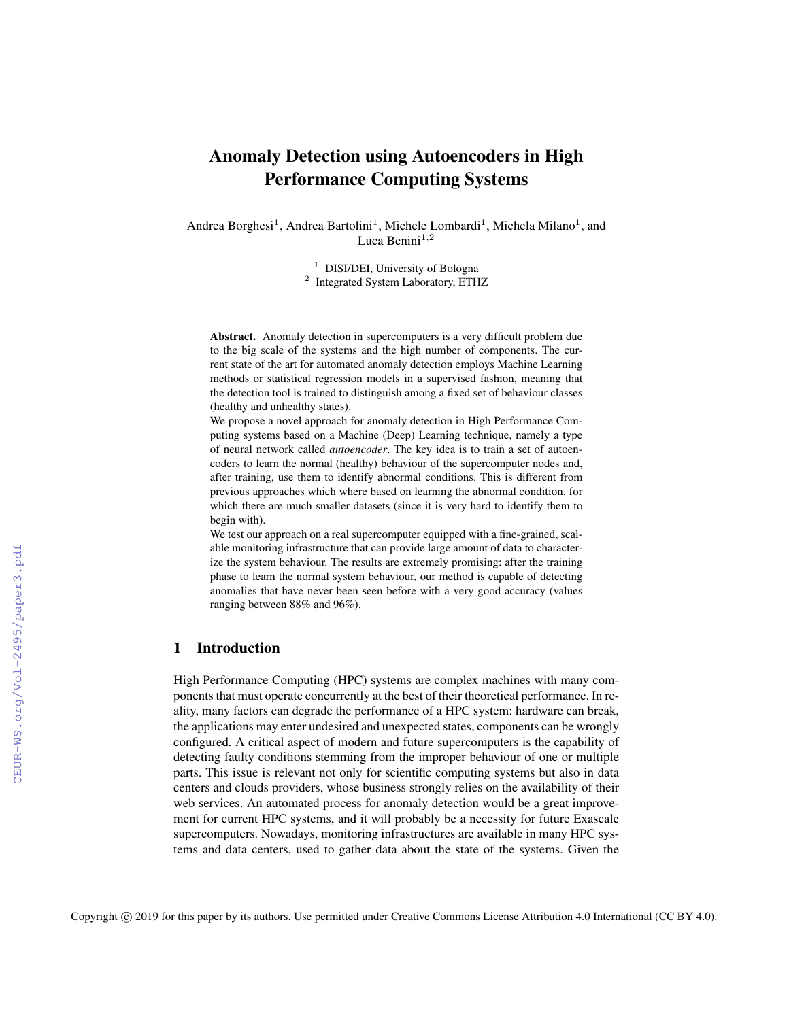# Anomaly Detection using Autoencoders in High Performance Computing Systems

Andrea Borghesi<sup>1</sup>, Andrea Bartolini<sup>1</sup>, Michele Lombardi<sup>1</sup>, Michela Milano<sup>1</sup>, and Luca Benini $^{1,2}$ 

> <sup>1</sup> DISI/DEI, University of Bologna <sup>2</sup> Integrated System Laboratory, ETHZ

Abstract. Anomaly detection in supercomputers is a very difficult problem due to the big scale of the systems and the high number of components. The current state of the art for automated anomaly detection employs Machine Learning methods or statistical regression models in a supervised fashion, meaning that the detection tool is trained to distinguish among a fixed set of behaviour classes (healthy and unhealthy states).

We propose a novel approach for anomaly detection in High Performance Computing systems based on a Machine (Deep) Learning technique, namely a type of neural network called *autoencoder*. The key idea is to train a set of autoencoders to learn the normal (healthy) behaviour of the supercomputer nodes and, after training, use them to identify abnormal conditions. This is different from previous approaches which where based on learning the abnormal condition, for which there are much smaller datasets (since it is very hard to identify them to begin with).

We test our approach on a real supercomputer equipped with a fine-grained, scalable monitoring infrastructure that can provide large amount of data to characterize the system behaviour. The results are extremely promising: after the training phase to learn the normal system behaviour, our method is capable of detecting anomalies that have never been seen before with a very good accuracy (values ranging between 88% and 96%).

## 1 Introduction

High Performance Computing (HPC) systems are complex machines with many components that must operate concurrently at the best of their theoretical performance. In reality, many factors can degrade the performance of a HPC system: hardware can break, the applications may enter undesired and unexpected states, components can be wrongly configured. A critical aspect of modern and future supercomputers is the capability of detecting faulty conditions stemming from the improper behaviour of one or multiple parts. This issue is relevant not only for scientific computing systems but also in data centers and clouds providers, whose business strongly relies on the availability of their web services. An automated process for anomaly detection would be a great improvement for current HPC systems, and it will probably be a necessity for future Exascale supercomputers. Nowadays, monitoring infrastructures are available in many HPC systems and data centers, used to gather data about the state of the systems. Given the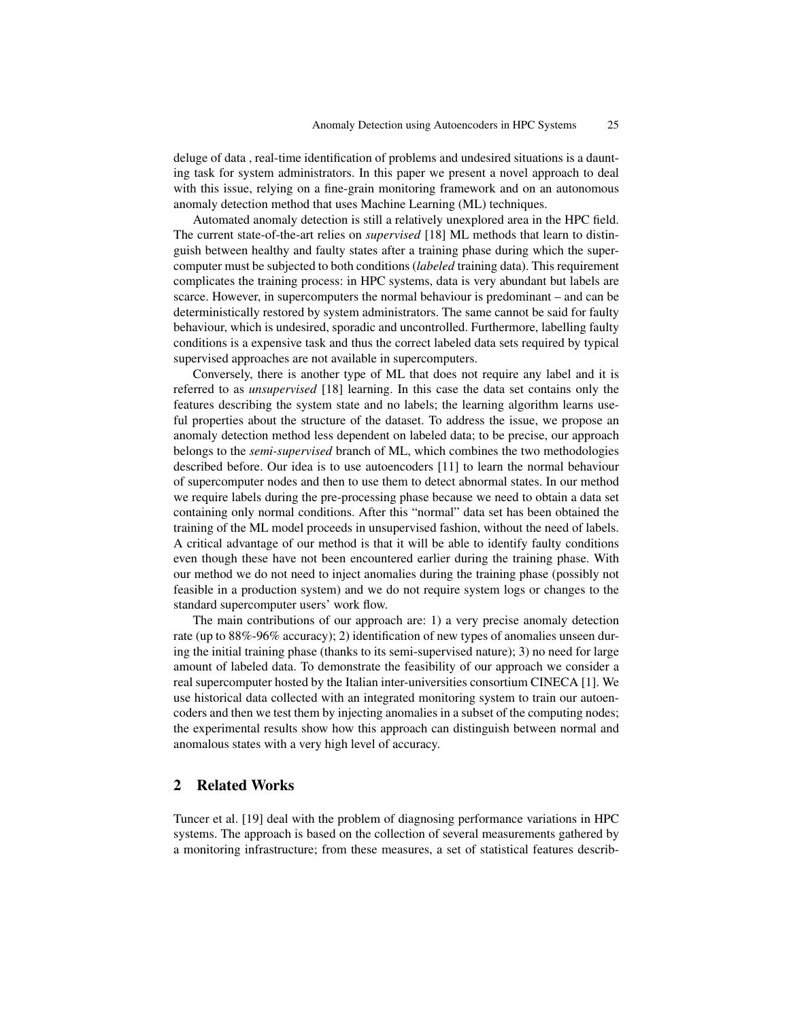deluge of data , real-time identification of problems and undesired situations is a daunting task for system administrators. In this paper we present a novel approach to deal with this issue, relying on a fine-grain monitoring framework and on an autonomous anomaly detection method that uses Machine Learning (ML) techniques.

Automated anomaly detection is still a relatively unexplored area in the HPC field. The current state-of-the-art relies on *supervised* [18] ML methods that learn to distinguish between healthy and faulty states after a training phase during which the supercomputer must be subjected to both conditions (*labeled* training data). This requirement complicates the training process: in HPC systems, data is very abundant but labels are scarce. However, in supercomputers the normal behaviour is predominant – and can be deterministically restored by system administrators. The same cannot be said for faulty behaviour, which is undesired, sporadic and uncontrolled. Furthermore, labelling faulty conditions is a expensive task and thus the correct labeled data sets required by typical supervised approaches are not available in supercomputers.

Conversely, there is another type of ML that does not require any label and it is referred to as *unsupervised* [18] learning. In this case the data set contains only the features describing the system state and no labels; the learning algorithm learns useful properties about the structure of the dataset. To address the issue, we propose an anomaly detection method less dependent on labeled data; to be precise, our approach belongs to the *semi-supervised* branch of ML, which combines the two methodologies described before. Our idea is to use autoencoders [11] to learn the normal behaviour of supercomputer nodes and then to use them to detect abnormal states. In our method we require labels during the pre-processing phase because we need to obtain a data set containing only normal conditions. After this "normal" data set has been obtained the training of the ML model proceeds in unsupervised fashion, without the need of labels. A critical advantage of our method is that it will be able to identify faulty conditions even though these have not been encountered earlier during the training phase. With our method we do not need to inject anomalies during the training phase (possibly not feasible in a production system) and we do not require system logs or changes to the standard supercomputer users' work flow.

The main contributions of our approach are: 1) a very precise anomaly detection rate (up to 88%-96% accuracy); 2) identification of new types of anomalies unseen during the initial training phase (thanks to its semi-supervised nature); 3) no need for large amount of labeled data. To demonstrate the feasibility of our approach we consider a real supercomputer hosted by the Italian inter-universities consortium CINECA [1]. We use historical data collected with an integrated monitoring system to train our autoencoders and then we test them by injecting anomalies in a subset of the computing nodes; the experimental results show how this approach can distinguish between normal and anomalous states with a very high level of accuracy.

# 2 Related Works

Tuncer et al. [19] deal with the problem of diagnosing performance variations in HPC systems. The approach is based on the collection of several measurements gathered by a monitoring infrastructure; from these measures, a set of statistical features describ-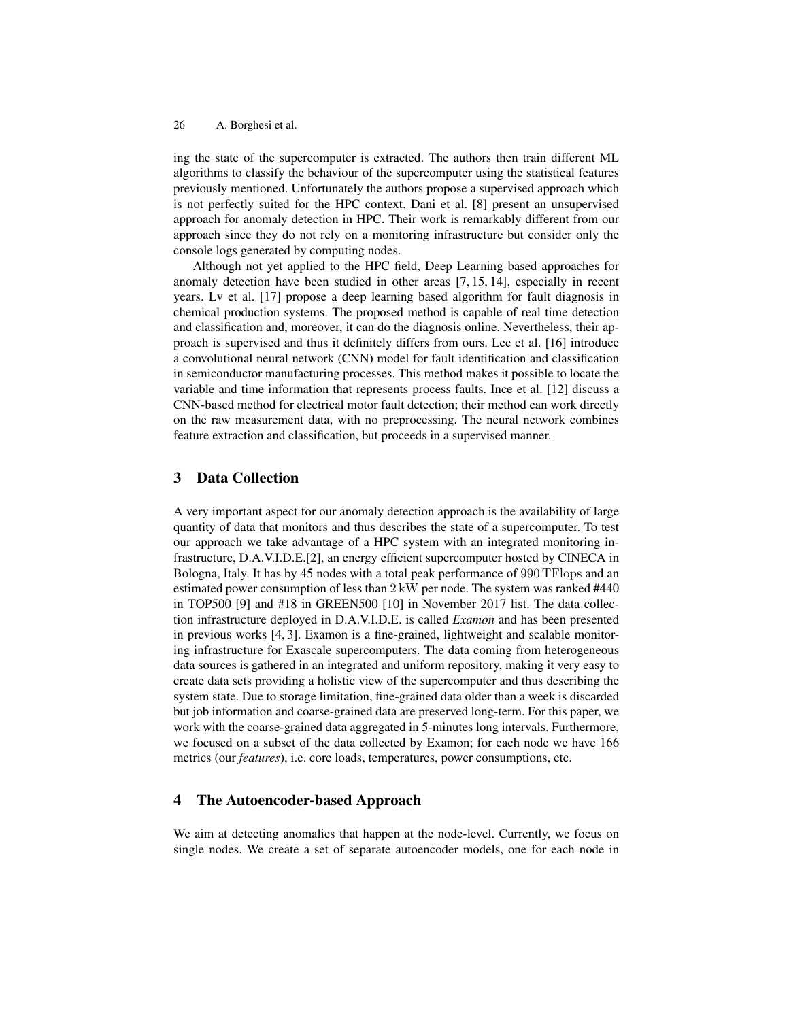#### 26 A. Borghesi et al.

ing the state of the supercomputer is extracted. The authors then train different ML algorithms to classify the behaviour of the supercomputer using the statistical features previously mentioned. Unfortunately the authors propose a supervised approach which is not perfectly suited for the HPC context. Dani et al. [8] present an unsupervised approach for anomaly detection in HPC. Their work is remarkably different from our approach since they do not rely on a monitoring infrastructure but consider only the console logs generated by computing nodes.

Although not yet applied to the HPC field, Deep Learning based approaches for anomaly detection have been studied in other areas [7, 15, 14], especially in recent years. Lv et al. [17] propose a deep learning based algorithm for fault diagnosis in chemical production systems. The proposed method is capable of real time detection and classification and, moreover, it can do the diagnosis online. Nevertheless, their approach is supervised and thus it definitely differs from ours. Lee et al. [16] introduce a convolutional neural network (CNN) model for fault identification and classification in semiconductor manufacturing processes. This method makes it possible to locate the variable and time information that represents process faults. Ince et al. [12] discuss a CNN-based method for electrical motor fault detection; their method can work directly on the raw measurement data, with no preprocessing. The neural network combines feature extraction and classification, but proceeds in a supervised manner.

## 3 Data Collection

A very important aspect for our anomaly detection approach is the availability of large quantity of data that monitors and thus describes the state of a supercomputer. To test our approach we take advantage of a HPC system with an integrated monitoring infrastructure, D.A.V.I.D.E.[2], an energy efficient supercomputer hosted by CINECA in Bologna, Italy. It has by 45 nodes with a total peak performance of 990 TFlops and an estimated power consumption of less than 2 kW per node. The system was ranked #440 in TOP500 [9] and #18 in GREEN500 [10] in November 2017 list. The data collection infrastructure deployed in D.A.V.I.D.E. is called *Examon* and has been presented in previous works [4, 3]. Examon is a fine-grained, lightweight and scalable monitoring infrastructure for Exascale supercomputers. The data coming from heterogeneous data sources is gathered in an integrated and uniform repository, making it very easy to create data sets providing a holistic view of the supercomputer and thus describing the system state. Due to storage limitation, fine-grained data older than a week is discarded but job information and coarse-grained data are preserved long-term. For this paper, we work with the coarse-grained data aggregated in 5-minutes long intervals. Furthermore, we focused on a subset of the data collected by Examon; for each node we have 166 metrics (our *features*), i.e. core loads, temperatures, power consumptions, etc.

## 4 The Autoencoder-based Approach

We aim at detecting anomalies that happen at the node-level. Currently, we focus on single nodes. We create a set of separate autoencoder models, one for each node in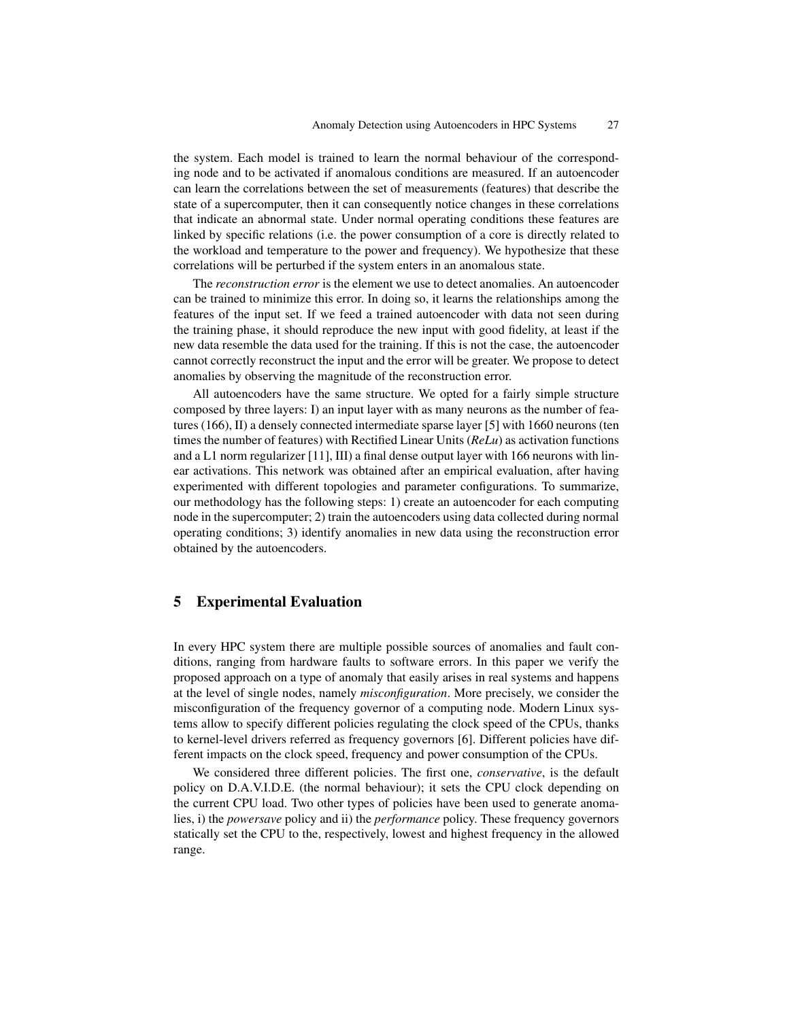the system. Each model is trained to learn the normal behaviour of the corresponding node and to be activated if anomalous conditions are measured. If an autoencoder can learn the correlations between the set of measurements (features) that describe the state of a supercomputer, then it can consequently notice changes in these correlations that indicate an abnormal state. Under normal operating conditions these features are linked by specific relations (i.e. the power consumption of a core is directly related to the workload and temperature to the power and frequency). We hypothesize that these correlations will be perturbed if the system enters in an anomalous state.

The *reconstruction error* is the element we use to detect anomalies. An autoencoder can be trained to minimize this error. In doing so, it learns the relationships among the features of the input set. If we feed a trained autoencoder with data not seen during the training phase, it should reproduce the new input with good fidelity, at least if the new data resemble the data used for the training. If this is not the case, the autoencoder cannot correctly reconstruct the input and the error will be greater. We propose to detect anomalies by observing the magnitude of the reconstruction error.

All autoencoders have the same structure. We opted for a fairly simple structure composed by three layers: I) an input layer with as many neurons as the number of features (166), II) a densely connected intermediate sparse layer [5] with 1660 neurons (ten times the number of features) with Rectified Linear Units (*ReLu*) as activation functions and a L1 norm regularizer [11], III) a final dense output layer with 166 neurons with linear activations. This network was obtained after an empirical evaluation, after having experimented with different topologies and parameter configurations. To summarize, our methodology has the following steps: 1) create an autoencoder for each computing node in the supercomputer; 2) train the autoencoders using data collected during normal operating conditions; 3) identify anomalies in new data using the reconstruction error obtained by the autoencoders.

## 5 Experimental Evaluation

In every HPC system there are multiple possible sources of anomalies and fault conditions, ranging from hardware faults to software errors. In this paper we verify the proposed approach on a type of anomaly that easily arises in real systems and happens at the level of single nodes, namely *misconfiguration*. More precisely, we consider the misconfiguration of the frequency governor of a computing node. Modern Linux systems allow to specify different policies regulating the clock speed of the CPUs, thanks to kernel-level drivers referred as frequency governors [6]. Different policies have different impacts on the clock speed, frequency and power consumption of the CPUs.

We considered three different policies. The first one, *conservative*, is the default policy on D.A.V.I.D.E. (the normal behaviour); it sets the CPU clock depending on the current CPU load. Two other types of policies have been used to generate anomalies, i) the *powersave* policy and ii) the *performance* policy. These frequency governors statically set the CPU to the, respectively, lowest and highest frequency in the allowed range.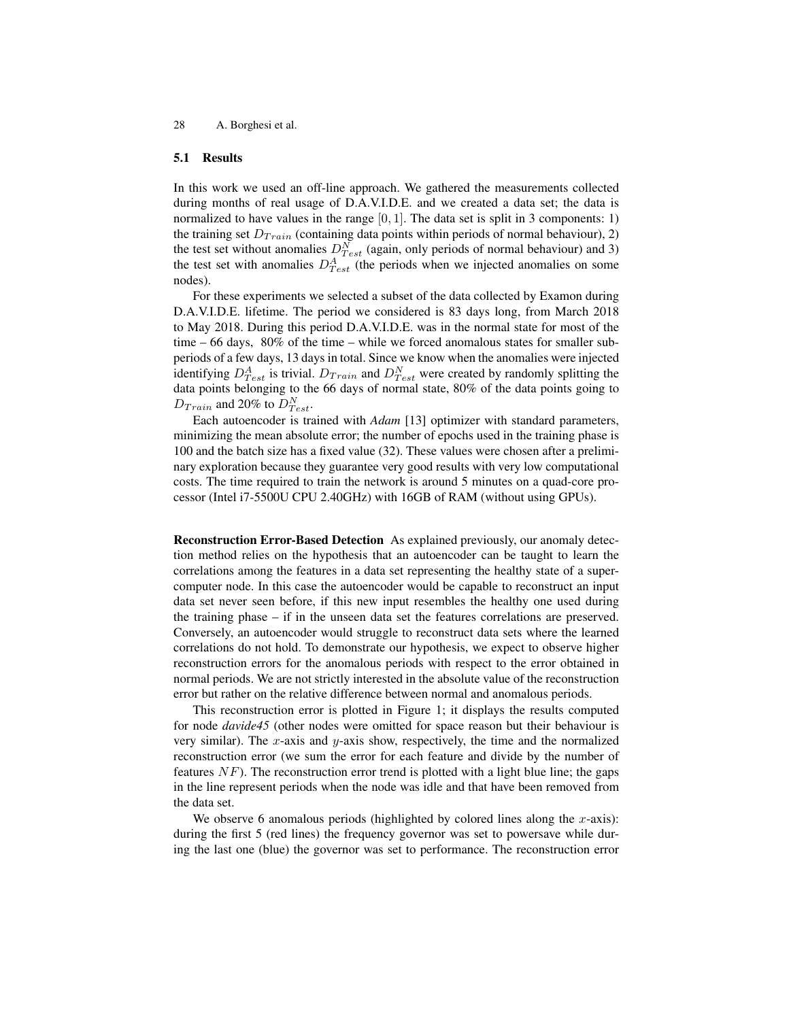#### 28 A. Borghesi et al.

#### 5.1 Results

In this work we used an off-line approach. We gathered the measurements collected during months of real usage of D.A.V.I.D.E. and we created a data set; the data is normalized to have values in the range  $[0, 1]$ . The data set is split in 3 components: 1) the training set  $D_{Train}$  (containing data points within periods of normal behaviour), 2) the test set without anomalies  $D_{Test}^N$  (again, only periods of normal behaviour) and 3) the test set with anomalies  $D_{Test}^A$  (the periods when we injected anomalies on some nodes).

For these experiments we selected a subset of the data collected by Examon during D.A.V.I.D.E. lifetime. The period we considered is 83 days long, from March 2018 to May 2018. During this period D.A.V.I.D.E. was in the normal state for most of the time – 66 days, 80% of the time – while we forced anomalous states for smaller subperiods of a few days, 13 days in total. Since we know when the anomalies were injected identifying  $D_{Test}^A$  is trivial.  $D_{Train}$  and  $D_{Test}^N$  were created by randomly splitting the data points belonging to the 66 days of normal state, 80% of the data points going to  $D_{Train}$  and 20% to  $D_{Test}^N$ .

Each autoencoder is trained with *Adam* [13] optimizer with standard parameters, minimizing the mean absolute error; the number of epochs used in the training phase is 100 and the batch size has a fixed value (32). These values were chosen after a preliminary exploration because they guarantee very good results with very low computational costs. The time required to train the network is around 5 minutes on a quad-core processor (Intel i7-5500U CPU 2.40GHz) with 16GB of RAM (without using GPUs).

Reconstruction Error-Based Detection As explained previously, our anomaly detection method relies on the hypothesis that an autoencoder can be taught to learn the correlations among the features in a data set representing the healthy state of a supercomputer node. In this case the autoencoder would be capable to reconstruct an input data set never seen before, if this new input resembles the healthy one used during the training phase – if in the unseen data set the features correlations are preserved. Conversely, an autoencoder would struggle to reconstruct data sets where the learned correlations do not hold. To demonstrate our hypothesis, we expect to observe higher reconstruction errors for the anomalous periods with respect to the error obtained in normal periods. We are not strictly interested in the absolute value of the reconstruction error but rather on the relative difference between normal and anomalous periods.

This reconstruction error is plotted in Figure 1; it displays the results computed for node *davide45* (other nodes were omitted for space reason but their behaviour is very similar). The x-axis and  $y$ -axis show, respectively, the time and the normalized reconstruction error (we sum the error for each feature and divide by the number of features  $NF$ ). The reconstruction error trend is plotted with a light blue line; the gaps in the line represent periods when the node was idle and that have been removed from the data set.

We observe 6 anomalous periods (highlighted by colored lines along the  $x$ -axis): during the first 5 (red lines) the frequency governor was set to powersave while during the last one (blue) the governor was set to performance. The reconstruction error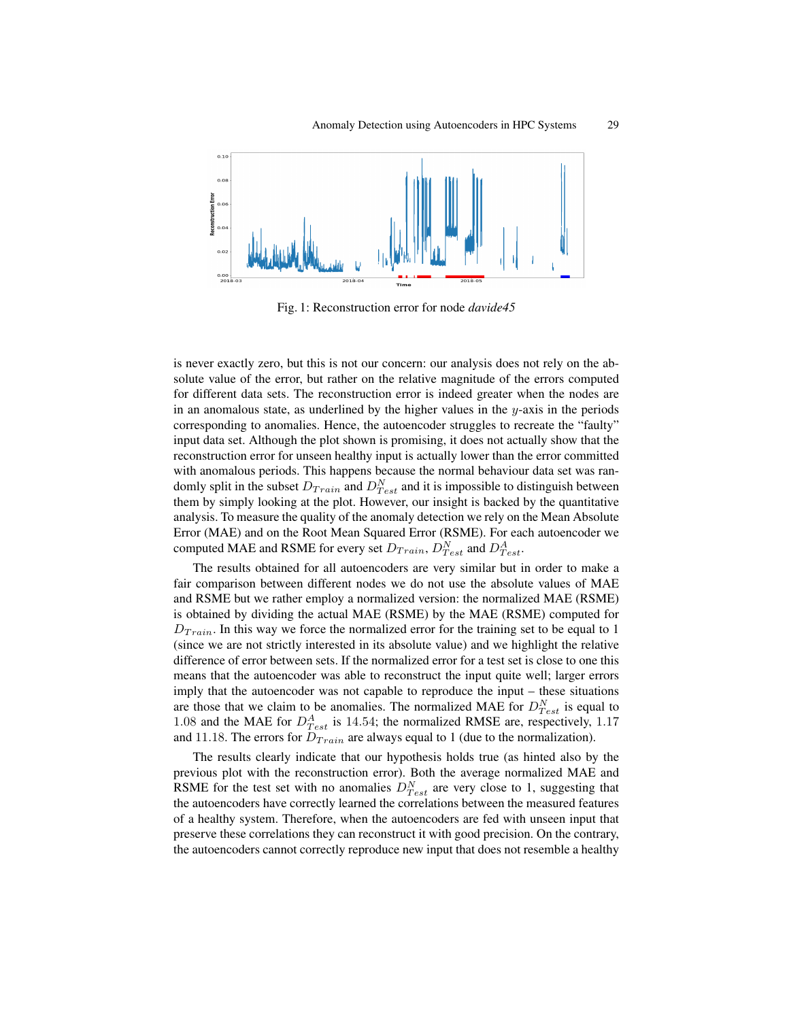

Fig. 1: Reconstruction error for node *davide45*

is never exactly zero, but this is not our concern: our analysis does not rely on the absolute value of the error, but rather on the relative magnitude of the errors computed for different data sets. The reconstruction error is indeed greater when the nodes are in an anomalous state, as underlined by the higher values in the  $y$ -axis in the periods corresponding to anomalies. Hence, the autoencoder struggles to recreate the "faulty" input data set. Although the plot shown is promising, it does not actually show that the reconstruction error for unseen healthy input is actually lower than the error committed with anomalous periods. This happens because the normal behaviour data set was randomly split in the subset  $D_{Train}$  and  $D_{Test}^N$  and it is impossible to distinguish between them by simply looking at the plot. However, our insight is backed by the quantitative analysis. To measure the quality of the anomaly detection we rely on the Mean Absolute Error (MAE) and on the Root Mean Squared Error (RSME). For each autoencoder we computed MAE and RSME for every set  $D_{Train}$ ,  $D_{Test}^N$  and  $D_{Test}^A$ .

The results obtained for all autoencoders are very similar but in order to make a fair comparison between different nodes we do not use the absolute values of MAE and RSME but we rather employ a normalized version: the normalized MAE (RSME) is obtained by dividing the actual MAE (RSME) by the MAE (RSME) computed for  $D_{Train}$ . In this way we force the normalized error for the training set to be equal to 1 (since we are not strictly interested in its absolute value) and we highlight the relative difference of error between sets. If the normalized error for a test set is close to one this means that the autoencoder was able to reconstruct the input quite well; larger errors imply that the autoencoder was not capable to reproduce the input – these situations are those that we claim to be anomalies. The normalized MAE for  $D_{Test}^N$  is equal to 1.08 and the MAE for  $D_{Test}^A$  is 14.54; the normalized RMSE are, respectively, 1.17 and 11.18. The errors for  $D_{Train}$  are always equal to 1 (due to the normalization).

The results clearly indicate that our hypothesis holds true (as hinted also by the previous plot with the reconstruction error). Both the average normalized MAE and RSME for the test set with no anomalies  $D_{Test}^N$  are very close to 1, suggesting that the autoencoders have correctly learned the correlations between the measured features of a healthy system. Therefore, when the autoencoders are fed with unseen input that preserve these correlations they can reconstruct it with good precision. On the contrary, the autoencoders cannot correctly reproduce new input that does not resemble a healthy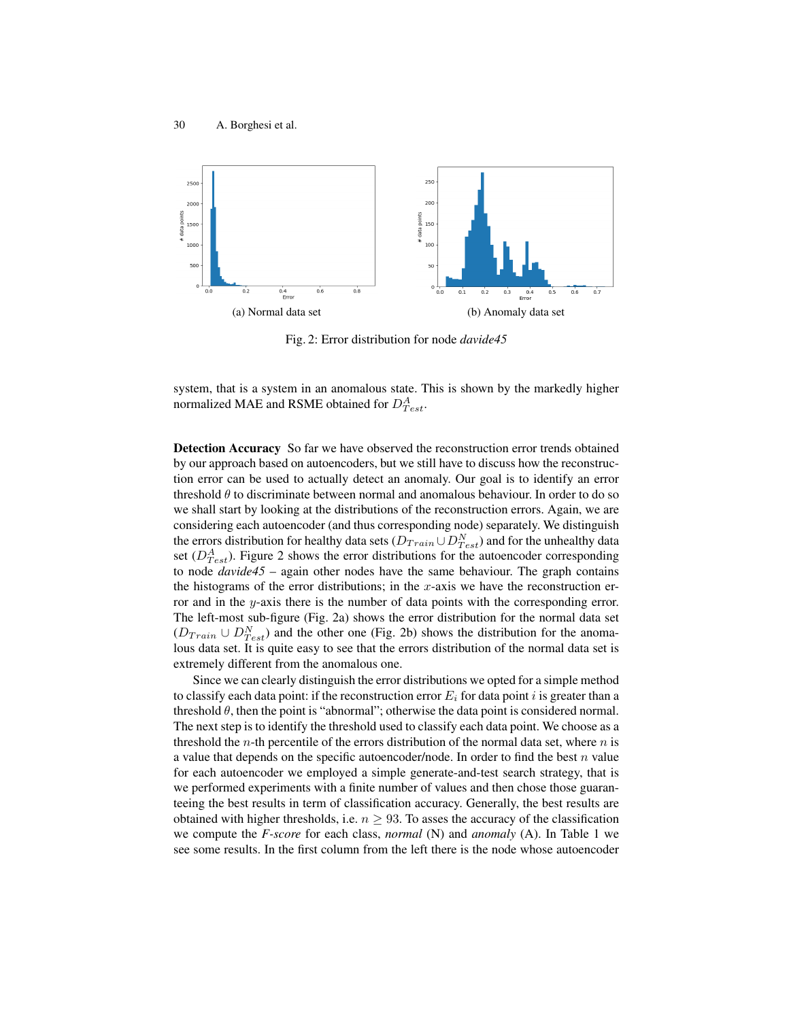

Fig. 2: Error distribution for node *davide45*

system, that is a system in an anomalous state. This is shown by the markedly higher normalized MAE and RSME obtained for  $D_{Test}^A$ .

Detection Accuracy So far we have observed the reconstruction error trends obtained by our approach based on autoencoders, but we still have to discuss how the reconstruction error can be used to actually detect an anomaly. Our goal is to identify an error threshold  $\theta$  to discriminate between normal and anomalous behaviour. In order to do so we shall start by looking at the distributions of the reconstruction errors. Again, we are considering each autoencoder (and thus corresponding node) separately. We distinguish the errors distribution for healthy data sets ( $D_{Train} \cup D_{Test}^N$ ) and for the unhealthy data set  $(D_{Test}^A)$ . Figure 2 shows the error distributions for the autoencoder corresponding to node *davide45* – again other nodes have the same behaviour. The graph contains the histograms of the error distributions; in the  $x$ -axis we have the reconstruction error and in the y-axis there is the number of data points with the corresponding error. The left-most sub-figure (Fig. 2a) shows the error distribution for the normal data set  $(D_{Train} \cup D_{Test}^N)$  and the other one (Fig. 2b) shows the distribution for the anomalous data set. It is quite easy to see that the errors distribution of the normal data set is extremely different from the anomalous one.

Since we can clearly distinguish the error distributions we opted for a simple method to classify each data point: if the reconstruction error  $E_i$  for data point i is greater than a threshold  $\theta$ , then the point is "abnormal"; otherwise the data point is considered normal. The next step is to identify the threshold used to classify each data point. We choose as a threshold the *n*-th percentile of the errors distribution of the normal data set, where  $n$  is a value that depends on the specific autoencoder/node. In order to find the best  $n$  value for each autoencoder we employed a simple generate-and-test search strategy, that is we performed experiments with a finite number of values and then chose those guaranteeing the best results in term of classification accuracy. Generally, the best results are obtained with higher thresholds, i.e.  $n > 93$ . To asses the accuracy of the classification we compute the *F-score* for each class, *normal* (N) and *anomaly* (A). In Table 1 we see some results. In the first column from the left there is the node whose autoencoder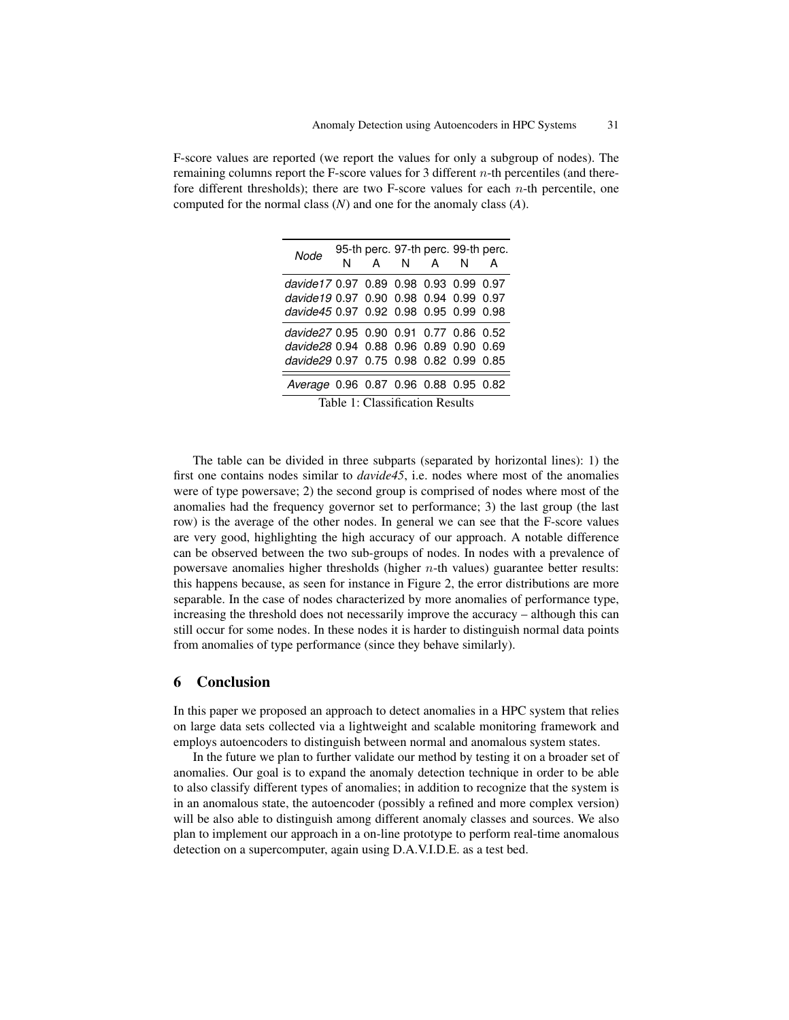| remaining columns report the F-score values for 3 different $n$ -th percentiles (and there- |
|---------------------------------------------------------------------------------------------|
| fore different thresholds); there are two F-score values for each $n$ -th percentile, one   |
| computed for the normal class $(N)$ and one for the anomaly class $(A)$ .                   |
|                                                                                             |

F-score values are reported (we report the values for only a subgroup of nodes). The

| Node                                    |  |  | 95-th perc. 97-th perc. 99-th perc. |  |  |   |  |
|-----------------------------------------|--|--|-------------------------------------|--|--|---|--|
|                                         |  |  | N A N A N                           |  |  | A |  |
| davide17 0.97 0.89 0.98 0.93 0.99 0.97  |  |  |                                     |  |  |   |  |
| davide 19 0.97 0.90 0.98 0.94 0.99 0.97 |  |  |                                     |  |  |   |  |
| davide45 0.97 0.92 0.98 0.95 0.99 0.98  |  |  |                                     |  |  |   |  |
| davide 27 0.95 0.90 0.91 0.77 0.86 0.52 |  |  |                                     |  |  |   |  |
| davide28 0.94 0.88 0.96 0.89 0.90 0.69  |  |  |                                     |  |  |   |  |
| davide 29 0.97 0.75 0.98 0.82 0.99 0.85 |  |  |                                     |  |  |   |  |
| Average 0.96 0.87 0.96 0.88 0.95 0.82   |  |  |                                     |  |  |   |  |
| Table 1: Classification Results         |  |  |                                     |  |  |   |  |

The table can be divided in three subparts (separated by horizontal lines): 1) the first one contains nodes similar to *davide45*, i.e. nodes where most of the anomalies were of type powersave; 2) the second group is comprised of nodes where most of the anomalies had the frequency governor set to performance; 3) the last group (the last row) is the average of the other nodes. In general we can see that the F-score values are very good, highlighting the high accuracy of our approach. A notable difference can be observed between the two sub-groups of nodes. In nodes with a prevalence of powersave anomalies higher thresholds (higher n-th values) guarantee better results: this happens because, as seen for instance in Figure 2, the error distributions are more separable. In the case of nodes characterized by more anomalies of performance type, increasing the threshold does not necessarily improve the accuracy – although this can still occur for some nodes. In these nodes it is harder to distinguish normal data points from anomalies of type performance (since they behave similarly).

#### 6 Conclusion

In this paper we proposed an approach to detect anomalies in a HPC system that relies on large data sets collected via a lightweight and scalable monitoring framework and employs autoencoders to distinguish between normal and anomalous system states.

In the future we plan to further validate our method by testing it on a broader set of anomalies. Our goal is to expand the anomaly detection technique in order to be able to also classify different types of anomalies; in addition to recognize that the system is in an anomalous state, the autoencoder (possibly a refined and more complex version) will be also able to distinguish among different anomaly classes and sources. We also plan to implement our approach in a on-line prototype to perform real-time anomalous detection on a supercomputer, again using D.A.V.I.D.E. as a test bed.